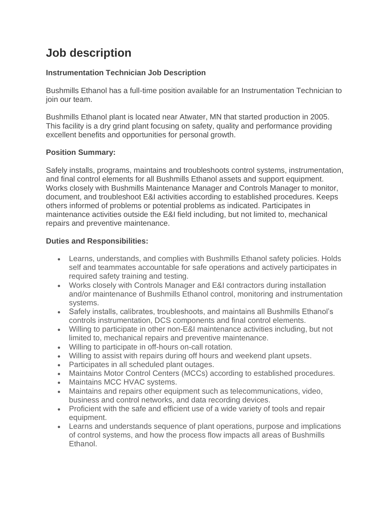# **Job description**

### **Instrumentation Technician Job Description**

Bushmills Ethanol has a full-time position available for an Instrumentation Technician to join our team.

Bushmills Ethanol plant is located near Atwater, MN that started production in 2005. This facility is a dry grind plant focusing on safety, quality and performance providing excellent benefits and opportunities for personal growth.

## **Position Summary:**

Safely installs, programs, maintains and troubleshoots control systems, instrumentation, and final control elements for all Bushmills Ethanol assets and support equipment. Works closely with Bushmills Maintenance Manager and Controls Manager to monitor, document, and troubleshoot E&I activities according to established procedures. Keeps others informed of problems or potential problems as indicated. Participates in maintenance activities outside the E&I field including, but not limited to, mechanical repairs and preventive maintenance.

#### **Duties and Responsibilities:**

- Learns, understands, and complies with Bushmills Ethanol safety policies. Holds self and teammates accountable for safe operations and actively participates in required safety training and testing.
- Works closely with Controls Manager and E&I contractors during installation and/or maintenance of Bushmills Ethanol control, monitoring and instrumentation systems.
- Safely installs, calibrates, troubleshoots, and maintains all Bushmills Ethanol's controls instrumentation, DCS components and final control elements.
- Willing to participate in other non-E&I maintenance activities including, but not limited to, mechanical repairs and preventive maintenance.
- Willing to participate in off-hours on-call rotation.
- Willing to assist with repairs during off hours and weekend plant upsets.
- Participates in all scheduled plant outages.
- Maintains Motor Control Centers (MCCs) according to established procedures.
- Maintains MCC HVAC systems.
- Maintains and repairs other equipment such as telecommunications, video, business and control networks, and data recording devices.
- Proficient with the safe and efficient use of a wide variety of tools and repair equipment.
- Learns and understands sequence of plant operations, purpose and implications of control systems, and how the process flow impacts all areas of Bushmills Ethanol.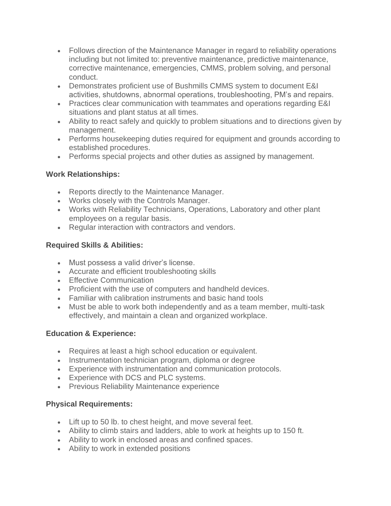- Follows direction of the Maintenance Manager in regard to reliability operations including but not limited to: preventive maintenance, predictive maintenance, corrective maintenance, emergencies, CMMS, problem solving, and personal conduct.
- Demonstrates proficient use of Bushmills CMMS system to document E&I activities, shutdowns, abnormal operations, troubleshooting, PM's and repairs.
- Practices clear communication with teammates and operations regarding E&I situations and plant status at all times.
- Ability to react safely and quickly to problem situations and to directions given by management.
- Performs housekeeping duties required for equipment and grounds according to established procedures.
- Performs special projects and other duties as assigned by management.

#### **Work Relationships:**

- Reports directly to the Maintenance Manager.
- Works closely with the Controls Manager.
- Works with Reliability Technicians, Operations, Laboratory and other plant employees on a regular basis.
- Regular interaction with contractors and vendors.

## **Required Skills & Abilities:**

- Must possess a valid driver's license.
- Accurate and efficient troubleshooting skills
- Effective Communication
- Proficient with the use of computers and handheld devices.
- Familiar with calibration instruments and basic hand tools
- Must be able to work both independently and as a team member, multi-task effectively, and maintain a clean and organized workplace.

## **Education & Experience:**

- Requires at least a high school education or equivalent.
- Instrumentation technician program, diploma or degree
- Experience with instrumentation and communication protocols.
- Experience with DCS and PLC systems.
- Previous Reliability Maintenance experience

## **Physical Requirements:**

- Lift up to 50 lb. to chest height, and move several feet.
- Ability to climb stairs and ladders, able to work at heights up to 150 ft.
- Ability to work in enclosed areas and confined spaces.
- Ability to work in extended positions